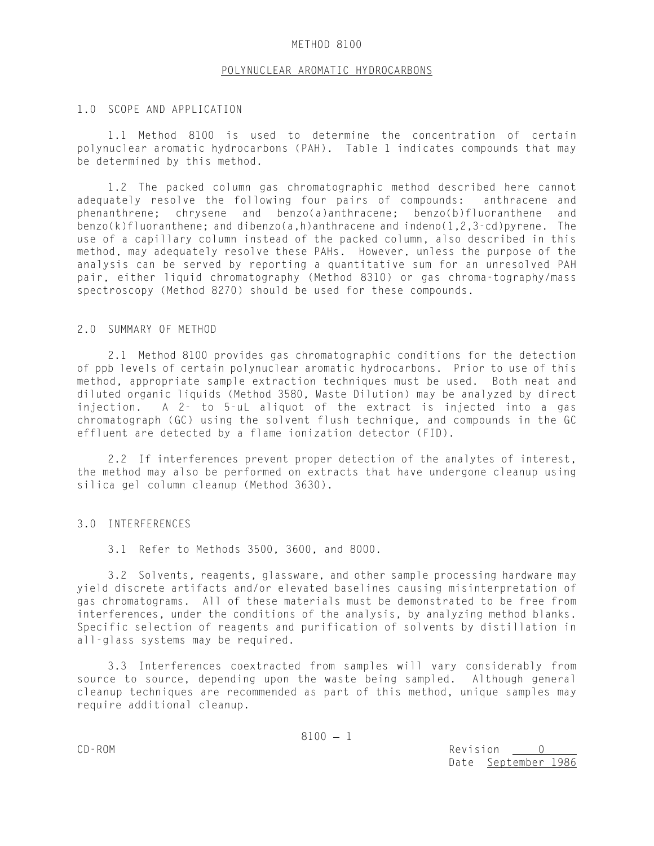#### METHOD 8100

#### POLYNUCLEAR AROMATIC HYDROCARBONS

## 1.0 SCOPE AND APPLICATION

1.1 Method 8100 is used to determine the concentration of certain polynuclear aromatic hydrocarbons (PAH). Table 1 indicates compounds that may be determined by this method.

1.2 The packed column gas chromatographic method described here cannot adequately resolve the following four pairs of compounds: anthracene and phenanthrene; chrysene and benzo(a)anthracene; benzo(b)fluoranthene and benzo(k)fluoranthene; and dibenzo(a,h)anthracene and indeno(1,2,3-cd)pyrene. The use of a capillary column instead of the packed column, also described in this method, may adequately resolve these PAHs. However, unless the purpose of the analysis can be served by reporting a quantitative sum for an unresolved PAH pair, either liquid chromatography (Method 8310) or gas chroma-tography/mass spectroscopy (Method 8270) should be used for these compounds.

#### 2.0 SUMMARY OF METHOD

2.1 Method 8100 provides gas chromatographic conditions for the detection of ppb levels of certain polynuclear aromatic hydrocarbons. Prior to use of this method, appropriate sample extraction techniques must be used. Both neat and diluted organic liquids (Method 3580, Waste Dilution) may be analyzed by direct injection. A 2- to 5-uL aliquot of the extract is injected into a gas chromatograph (GC) using the solvent flush technique, and compounds in the GC effluent are detected by a flame ionization detector (FID).

2.2 If interferences prevent proper detection of the analytes of interest, the method may also be performed on extracts that have undergone cleanup using silica gel column cleanup (Method 3630).

# 3.0 INTERFERENCES

3.1 Refer to Methods 3500, 3600, and 8000.

3.2 Solvents, reagents, glassware, and other sample processing hardware may yield discrete artifacts and/or elevated baselines causing misinterpretation of gas chromatograms. All of these materials must be demonstrated to be free from interferences, under the conditions of the analysis, by analyzing method blanks. Specific selection of reagents and purification of solvents by distillation in all-glass systems may be required.

3.3 Interferences coextracted from samples will vary considerably from source to source, depending upon the waste being sampled. Although general cleanup techniques are recommended as part of this method, unique samples may require additional cleanup.

CD-ROM Revision 0 Date September 1986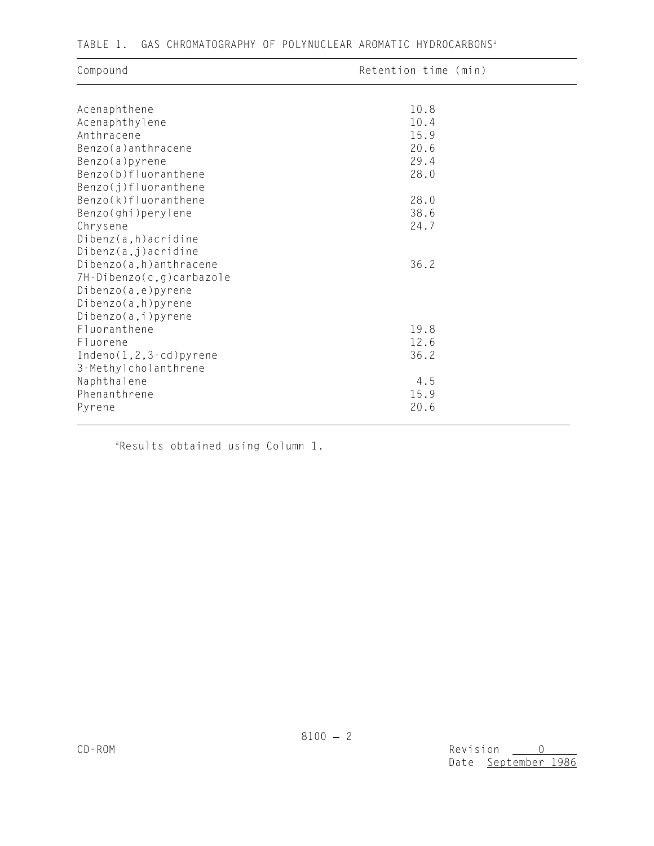| Compound                 | Retention time (min) |  |
|--------------------------|----------------------|--|
| Acenaphthene             | 10.8                 |  |
| Acenaphthylene           | 10.4                 |  |
| Anthracene               | 15.9                 |  |
| Benzo(a)anthracene       | 20.6                 |  |
| Benzo(a)pyrene           | 29.4                 |  |
| Benzo(b)fluoranthene     | 28.0                 |  |
| Benzo(j)fluoranthene     |                      |  |
| Benzo(k)fluoranthene     | 28.0                 |  |
| Benzo(ghi)perylene       | 38.6                 |  |
| Chrysene                 | 24.7                 |  |
| Dibenz(a,h)acridine      |                      |  |
| Dibenz(a,j)acridine      |                      |  |
| Dibenzo(a,h)anthracene   | 36.2                 |  |
| 7H-Dibenzo(c,g)carbazole |                      |  |
| Dibenzo(a,e)pyrene       |                      |  |
| Dibenzo(a,h)pyrene       |                      |  |
| Dibenzo(a, i)pyrene      |                      |  |
| Fluoranthene             | 19.8                 |  |
| Fluorene                 | 12.6                 |  |
| $Indeno(1,2,3-cd)pyrene$ | 36.2                 |  |
| 3-Methylcholanthrene     |                      |  |
| Naphthalene              | 4.5                  |  |
| Phenanthrene             | 15.9                 |  |
| Pyrene                   | 20.6                 |  |

# TABLE 1. GAS CHROMATOGRAPHY OF POLYNUCLEAR AROMATIC HYDROCARBONS<sup>a</sup>

 $a$ Results obtained using Column 1.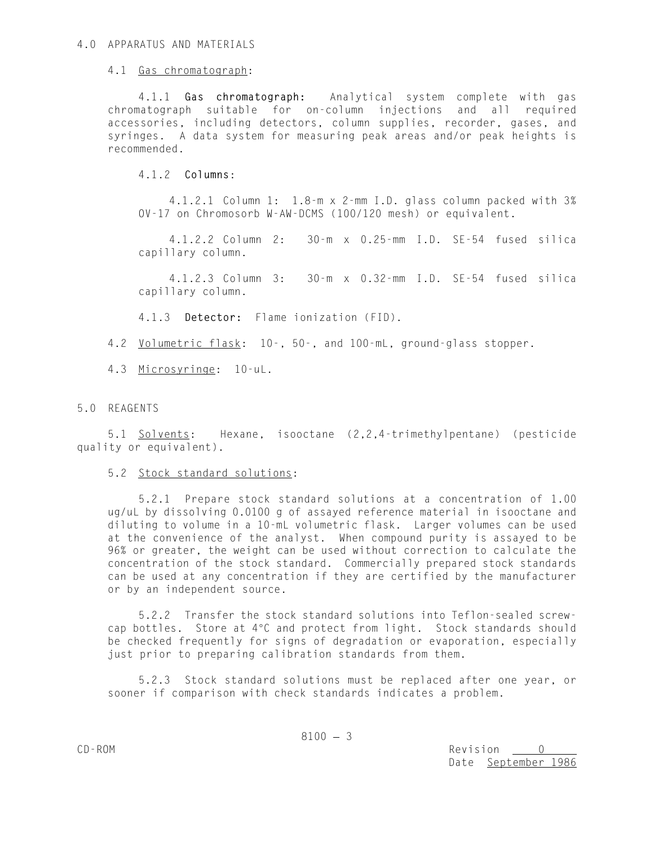## 4.1 Gas chromatograph:

4.1.1 **Gas chromatograph:** Analytical system complete with gas chromatograph suitable for on-column injections and all required accessories, including detectors, column supplies, recorder, gases, and syringes. A data system for measuring peak areas and/or peak heights is recommended.

## 4.1.2 **Columns**:

4.1.2.1 Column 1: 1.8-m x 2-mm I.D. glass column packed with 3% OV-17 on Chromosorb W-AW-DCMS (100/120 mesh) or equivalent.

4.1.2.2 Column 2: 30-m x 0.25-mm I.D. SE-54 fused silica capillary column.

4.1.2.3 Column 3: 30-m x 0.32-mm I.D. SE-54 fused silica capillary column.

4.1.3 **Detector:** Flame ionization (FID).

4.2 Volumetric flask: 10-, 50-, and 100-mL, ground-glass stopper.

4.3 Microsyringe: 10-uL.

5.0 REAGENTS

5.1 Solvents: Hexane, isooctane (2,2,4-trimethylpentane) (pesticide quality or equivalent).

## 5.2 Stock standard solutions:

5.2.1 Prepare stock standard solutions at a concentration of 1.00 ug/uL by dissolving 0.0100 g of assayed reference material in isooctane and diluting to volume in a 10-mL volumetric flask. Larger volumes can be used at the convenience of the analyst. When compound purity is assayed to be 96% or greater, the weight can be used without correction to calculate the concentration of the stock standard. Commercially prepared stock standards can be used at any concentration if they are certified by the manufacturer or by an independent source.

5.2.2 Transfer the stock standard solutions into Teflon-sealed screwcap bottles. Store at 4°C and protect from light. Stock standards should be checked frequently for signs of degradation or evaporation, especially just prior to preparing calibration standards from them.

5.2.3 Stock standard solutions must be replaced after one year, or sooner if comparison with check standards indicates a problem.

CD-ROM Revision 0 Date September 1986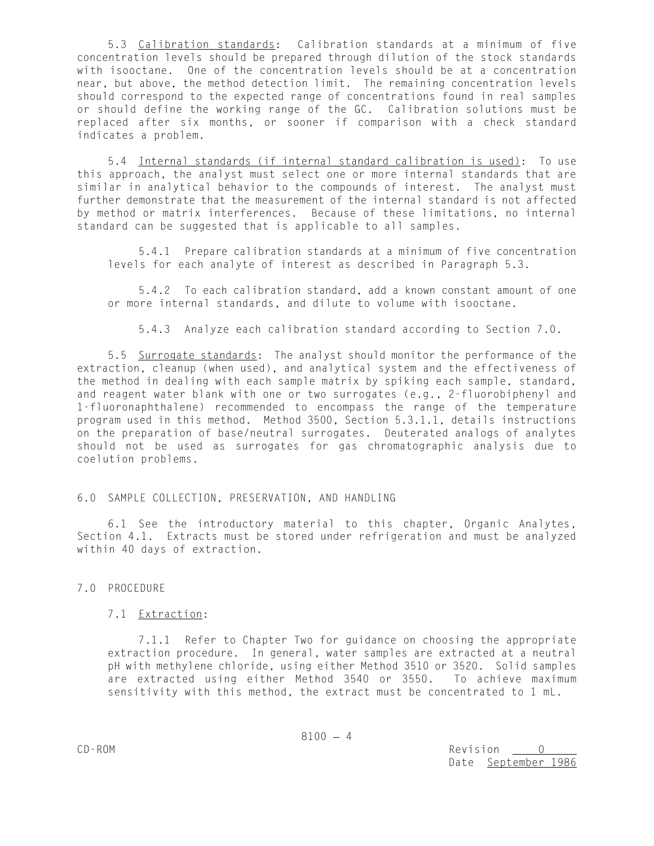5.3 Calibration standards: Calibration standards at a minimum of five concentration levels should be prepared through dilution of the stock standards with isooctane. One of the concentration levels should be at a concentration near, but above, the method detection limit. The remaining concentration levels should correspond to the expected range of concentrations found in real samples or should define the working range of the GC. Calibration solutions must be replaced after six months, or sooner if comparison with a check standard indicates a problem.

5.4 Internal standards (if internal standard calibration is used): To use this approach, the analyst must select one or more internal standards that are similar in analytical behavior to the compounds of interest. The analyst must further demonstrate that the measurement of the internal standard is not affected by method or matrix interferences. Because of these limitations, no internal standard can be suggested that is applicable to all samples.

5.4.1 Prepare calibration standards at a minimum of five concentration levels for each analyte of interest as described in Paragraph 5.3.

5.4.2 To each calibration standard, add a known constant amount of one or more internal standards, and dilute to volume with isooctane.

5.4.3 Analyze each calibration standard according to Section 7.0.

5.5 Surrogate standards: The analyst should monitor the performance of the extraction, cleanup (when used), and analytical system and the effectiveness of the method in dealing with each sample matrix by spiking each sample, standard, and reagent water blank with one or two surrogates (e.g., 2-fluorobiphenyl and 1-fluoronaphthalene) recommended to encompass the range of the temperature program used in this method. Method 3500, Section 5.3.1.1, details instructions on the preparation of base/neutral surrogates. Deuterated analogs of analytes should not be used as surrogates for gas chromatographic analysis due to coelution problems.

## 6.0 SAMPLE COLLECTION, PRESERVATION, AND HANDLING

6.1 See the introductory material to this chapter, Organic Analytes, Section 4.1. Extracts must be stored under refrigeration and must be analyzed within 40 days of extraction.

# 7.0 PROCEDURE

## 7.1 Extraction:

7.1.1 Refer to Chapter Two for guidance on choosing the appropriate extraction procedure. In general, water samples are extracted at a neutral pH with methylene chloride, using either Method 3510 or 3520. Solid samples are extracted using either Method 3540 or 3550. To achieve maximum sensitivity with this method, the extract must be concentrated to 1 mL.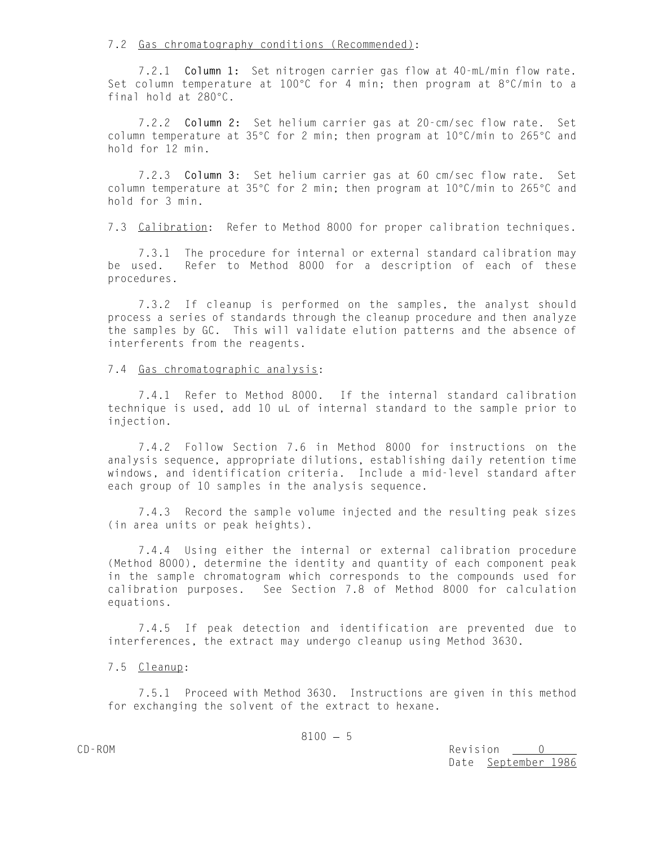7.2 Gas chromatography conditions (Recommended):

7.2.1 **Column 1:** Set nitrogen carrier gas flow at 40-mL/min flow rate. Set column temperature at 100°C for 4 min; then program at  $8^{\circ}$ C/min to a final hold at  $280^{\circ}$ C.

7.2.2 **Column 2:** Set helium carrier gas at 20-cm/sec flow rate. Set column temperature at 35°C for 2 min; then program at  $10^{\circ}$ C/min to 265°C and hold for 12 min.

7.2.3 **Column 3**: Set helium carrier gas at 60 cm/sec flow rate. Set column temperature at 35°C for 2 min; then program at 10°C/min to 265°C and hold for 3 min.

7.3 Calibration: Refer to Method 8000 for proper calibration techniques.

7.3.1 The procedure for internal or external standard calibration may be used. Refer to Method 8000 for a description of each of these procedures.

7.3.2 If cleanup is performed on the samples, the analyst should process a series of standards through the cleanup procedure and then analyze the samples by GC. This will validate elution patterns and the absence of interferents from the reagents.

#### 7.4 Gas chromatographic analysis:

7.4.1 Refer to Method 8000. If the internal standard calibration technique is used, add 10 uL of internal standard to the sample prior to injection.

7.4.2 Follow Section 7.6 in Method 8000 for instructions on the analysis sequence, appropriate dilutions, establishing daily retention time windows, and identification criteria. Include a mid-level standard after each group of 10 samples in the analysis sequence.

7.4.3 Record the sample volume injected and the resulting peak sizes (in area units or peak heights).

7.4.4 Using either the internal or external calibration procedure (Method 8000), determine the identity and quantity of each component peak in the sample chromatogram which corresponds to the compounds used for calibration purposes. See Section 7.8 of Method 8000 for calculation equations.

7.4.5 If peak detection and identification are prevented due to interferences, the extract may undergo cleanup using Method 3630.

## 7.5 Cleanup:

7.5.1 Proceed with Method 3630. Instructions are given in this method for exchanging the solvent of the extract to hexane.

CD-ROM Revision 0 Date September 1986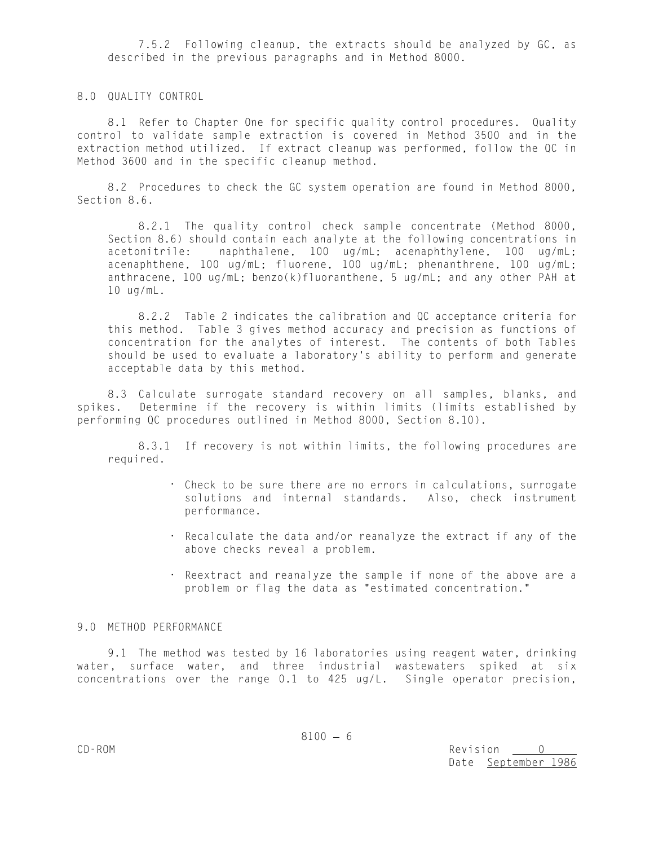7.5.2 Following cleanup, the extracts should be analyzed by GC, as described in the previous paragraphs and in Method 8000.

8.0 QUALITY CONTROL

8.1 Refer to Chapter One for specific quality control procedures. Quality control to validate sample extraction is covered in Method 3500 and in the extraction method utilized. If extract cleanup was performed, follow the QC in Method 3600 and in the specific cleanup method.

8.2 Procedures to check the GC system operation are found in Method 8000, Section 8.6.

8.2.1 The quality control check sample concentrate (Method 8000, Section 8.6) should contain each analyte at the following concentrations in acetonitrile: naphthalene, 100 ug/mL; acenaphthylene, 100 ug/mL; acenaphthene, 100 ug/mL; fluorene, 100 ug/mL; phenanthrene, 100 ug/mL; anthracene, 100 ug/mL; benzo(k)fluoranthene, 5 ug/mL; and any other PAH at 10 ug/mL.

8.2.2 Table 2 indicates the calibration and QC acceptance criteria for this method. Table 3 gives method accuracy and precision as functions of concentration for the analytes of interest. The contents of both Tables should be used to evaluate a laboratory's ability to perform and generate acceptable data by this method.

8.3 Calculate surrogate standard recovery on all samples, blanks, and spikes. Determine if the recovery is within limits (limits established by performing QC procedures outlined in Method 8000, Section 8.10).

8.3.1 If recovery is not within limits, the following procedures are required.

- Check to be sure there are no errors in calculations, surrogate . solutions and internal standards. Also, check instrument performance.
- Recalculate the data and/or reanalyze the extract if any of the . above checks reveal a problem.
- . Reextract and reanalyze the sample if none of the above are a problem or flag the data as "estimated concentration."

#### 9.0 METHOD PERFORMANCE

9.1 The method was tested by 16 laboratories using reagent water, drinking water, surface water, and three industrial wastewaters spiked at six concentrations over the range 0.1 to 425 ug/L. Single operator precision,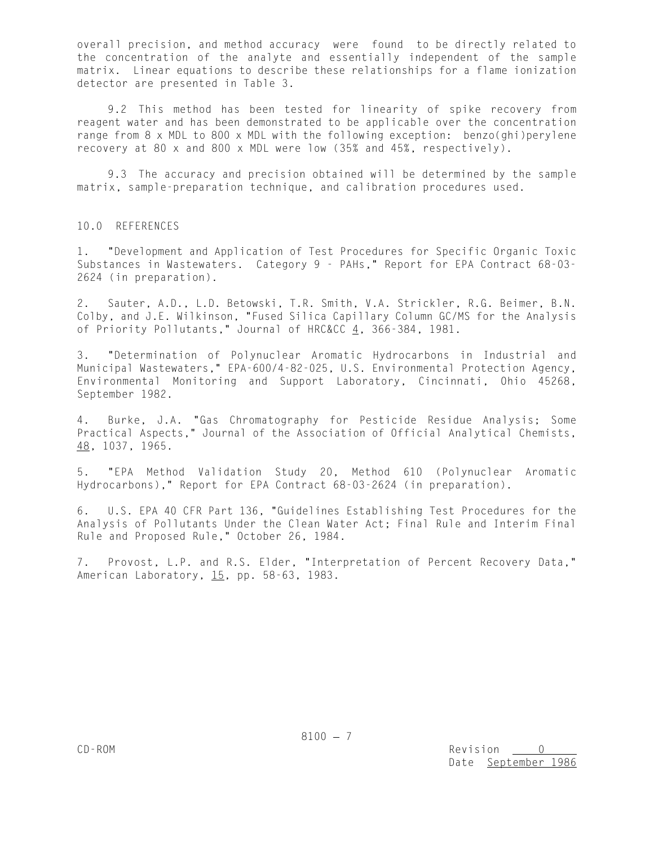overall precision, and method accuracy were found to be directly related to the concentration of the analyte and essentially independent of the sample matrix. Linear equations to describe these relationships for a flame ionization detector are presented in Table 3.

9.2 This method has been tested for linearity of spike recovery from reagent water and has been demonstrated to be applicable over the concentration range from 8 x MDL to 800 x MDL with the following exception: benzo(ghi)perylene recovery at 80 x and 800 x MDL were low (35% and 45%, respectively).

9.3 The accuracy and precision obtained will be determined by the sample matrix, sample-preparation technique, and calibration procedures used.

10.0 REFERENCES

1. "Development and Application of Test Procedures for Specific Organic Toxic Substances in Wastewaters. Category 9 - PAHs," Report for EPA Contract 68-03- 2624 (in preparation).

2. Sauter, A.D., L.D. Betowski, T.R. Smith, V.A. Strickler, R.G. Beimer, B.N. Colby, and J.E. Wilkinson, "Fused Silica Capillary Column GC/MS for the Analysis of Priority Pollutants," Journal of HRC&CC 4, 366-384, 1981.

3. "Determination of Polynuclear Aromatic Hydrocarbons in Industrial and Municipal Wastewaters," EPA-600/4-82-025, U.S. Environmental Protection Agency, Environmental Monitoring and Support Laboratory, Cincinnati, Ohio 45268, September 1982.

4. Burke, J.A. "Gas Chromatography for Pesticide Residue Analysis; Some Practical Aspects," Journal of the Association of Official Analytical Chemists, 48, 1037, 1965.

5. "EPA Method Validation Study 20, Method 610 (Polynuclear Aromatic Hydrocarbons)," Report for EPA Contract 68-03-2624 (in preparation).

6. U.S. EPA 40 CFR Part 136, "Guidelines Establishing Test Procedures for the Analysis of Pollutants Under the Clean Water Act; Final Rule and Interim Final Rule and Proposed Rule," October 26, 1984.

7. Provost, L.P. and R.S. Elder, "Interpretation of Percent Recovery Data," American Laboratory, 15, pp. 58-63, 1983.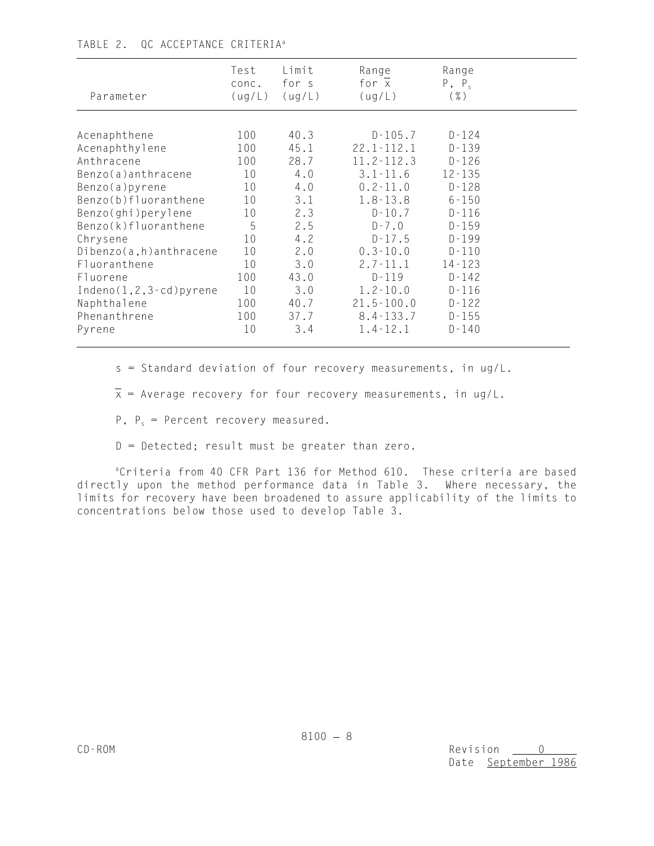| Test   | Limit  | Range          | Range        |           |
|--------|--------|----------------|--------------|-----------|
| conc.  | for s  | for x          | $P, P_s$     |           |
| (ug/L) | (ug/L) | (ug/L)         | $(\% )$      |           |
| 100    | 40.3   | $D-105.7$      | D-124        |           |
| 100    | 45.1   | $22.1 - 112.1$ | $D - 139$    |           |
| 100    | 28.7   | $11.2 - 112.3$ | $D - 126$    |           |
| 10     | 4.0    | $3.1 - 11.6$   | $12 - 135$   |           |
| 10     | 4.0    | $0.2 - 11.0$   | D-128        |           |
| 10     | 3.1    | $1.8 - 13.8$   | $6 - 150$    |           |
| 5      | 2.5    | $D - 7.0$      | $D - 159$    |           |
| 10     | 4.2    | $D-17.5$       | $D - 199$    |           |
| 10     | 3.0    | $2.7 - 11.1$   | 14-123       |           |
| 100    | 43.0   | $D - 119$      | $D - 142$    |           |
| 100    | 40.7   | $21.5 - 100.0$ | $D - 122$    |           |
| 100    | 37.7   | $8.4 - 133.7$  | $D - 155$    |           |
|        | 10     | 2.3            | $D - 10.7$   | $D - 116$ |
|        | 10     | 2.0            | $0.3 - 10.0$ | $D - 110$ |
|        | 10     | 3.0            | $1.2 - 10.0$ | $D - 116$ |
|        | 10     | 3.4            | $1.4 - 12.1$ | $D - 140$ |

# TABLE 2. QC ACCEPTANCE CRITERIA<sup>a</sup>

s = Standard deviation of four recovery measurements, in ug/L.

 $\overline{x}$  = Average recovery for four recovery measurements, in ug/L.

P,  $P_s$  = Percent recovery measured.

 $D =$  Detected; result must be greater than zero.

Criteria from 40 CFR Part 136 for Method 610. These criteria are based a directly upon the method performance data in Table 3. Where necessary, the limits for recovery have been broadened to assure applicability of the limits to concentrations below those used to develop Table 3.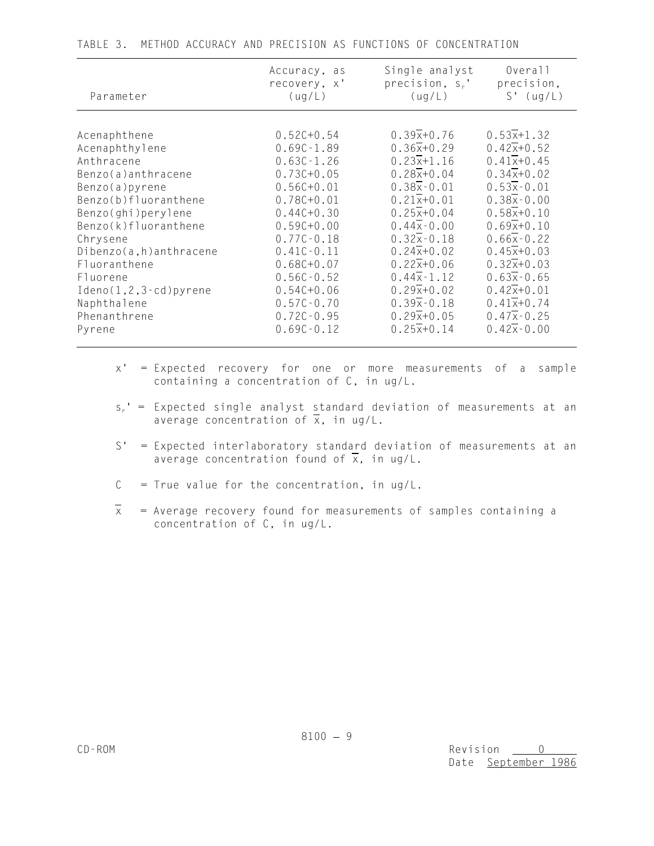| Parameter                 | Accuracy, as   | Single analyst            | Overall        |
|---------------------------|----------------|---------------------------|----------------|
|                           | recovery, x'   | precision, $s_r$ '        | precision,     |
|                           | (ug/L)         | (ug/L)                    | $S'$ (ug/L)    |
| Acenaphthene              | $0.52C + 0.54$ | $0.39x+0.76$              | $0.53x+1.32$   |
| Acenaphthylene            | $0.69C - 1.89$ | $0.36x+0.29$              | $0.42x+0.52$   |
| Anthracene                | $0.63C - 1.26$ | $0.23x+1.16$              | $0.41x+0.45$   |
| Benzo(a)anthracene        | $0.73C + 0.05$ | $0.28x+0.04$              | $0.34x+0.02$   |
| Benzo(a)pyrene            | $0.56C + 0.01$ | $0.38x - 0.01$            | $0.53x-0.01$   |
| Benzo(b)fluoranthene      | $0.78C + 0.01$ | $0.21x+0.01$              | $0.38x - 0.00$ |
| Benzo(ghi)perylene        | $0.44C + 0.30$ | $0.25x+0.04$              | $0.58x+0.10$   |
| Benzo(k)fluoranthene      | $0.59C + 0.00$ | $0.44x - 0.00$            | $0.69x+0.10$   |
| Chrysene                  | $0.77C - 0.18$ | $0.32x - 0.18$            | $0.66x - 0.22$ |
| Dibenzo(a,h)anthracene    | $0.41C - 0.11$ | $0.24x+0.02$              | $0.45x+0.03$   |
| Fluoranthene              | $0.68C + 0.07$ | $0.22x+0.06$              | $0.32x+0.03$   |
| Fluorene                  | $0.56C - 0.52$ | $0.44\overline{x} - 1.12$ | $0.63x - 0.65$ |
| $Ideno(1, 2, 3-cd)pyrene$ | $0.54C + 0.06$ | $0.29x+0.02$              | $0.42x+0.01$   |
| Naphthalene               | $0.57C - 0.70$ | $0.39x - 0.18$            | $0.41x+0.74$   |
| Phenanthrene              | $0.72C - 0.95$ | $0.29x+0.05$              | $0.47x - 0.25$ |
| Pyrene                    | $0.69C - 0.12$ | $0.25x+0.14$              | $0.42x - 0.00$ |

|  |  |  |  | TABLE 3. METHOD ACCURACY AND PRECISION AS FUNCTIONS OF CONCENTRATION |
|--|--|--|--|----------------------------------------------------------------------|
|  |  |  |  |                                                                      |

- x' = Expected recovery for one or more measurements of a sample containing a concentration of C, in ug/L.
- $s_r'$  = Expected single analyst standard deviation of measurements at an average concentration of  $\overline{x}$ , in ug/L.
- S' = Expected interlaboratory standard deviation of measurements at an average concentration found of  $\overline{x}$ , in ug/L.
- $C = True$  value for the concentration, in ug/L.
- $\overline{x}$  = Average recovery found for measurements of samples containing a concentration of C, in ug/L.